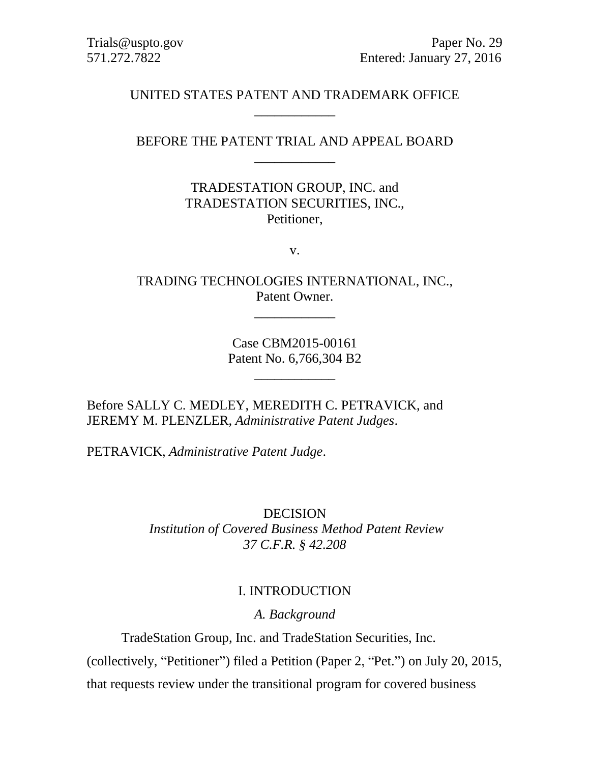## UNITED STATES PATENT AND TRADEMARK OFFICE \_\_\_\_\_\_\_\_\_\_\_\_

## BEFORE THE PATENT TRIAL AND APPEAL BOARD \_\_\_\_\_\_\_\_\_\_\_\_

## TRADESTATION GROUP, INC. and TRADESTATION SECURITIES, INC., Petitioner,

v.

TRADING TECHNOLOGIES INTERNATIONAL, INC., Patent Owner.

\_\_\_\_\_\_\_\_\_\_\_\_

Case CBM2015-00161 Patent No. 6,766,304 B2

\_\_\_\_\_\_\_\_\_\_\_\_

Before SALLY C. MEDLEY, MEREDITH C. PETRAVICK, and JEREMY M. PLENZLER, *Administrative Patent Judges*.

PETRAVICK, *Administrative Patent Judge*.

DECISION *Institution of Covered Business Method Patent Review 37 C.F.R. § 42.208*

#### I. INTRODUCTION

*A. Background*

TradeStation Group, Inc. and TradeStation Securities, Inc.

(collectively, "Petitioner") filed a Petition (Paper 2, "Pet.") on July 20, 2015,

that requests review under the transitional program for covered business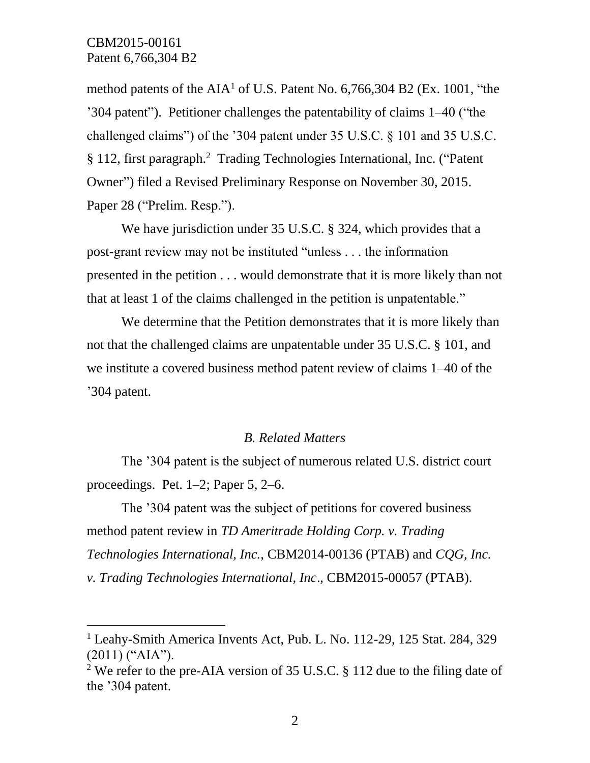$\overline{a}$ 

method patents of the  $AIA<sup>1</sup>$  of U.S. Patent No. 6,766,304 B2 (Ex. 1001, "the '304 patent"). Petitioner challenges the patentability of claims 1–40 ("the challenged claims") of the '304 patent under 35 U.S.C. § 101 and 35 U.S.C. § 112, first paragraph.<sup>2</sup> Trading Technologies International, Inc. ("Patent Owner") filed a Revised Preliminary Response on November 30, 2015. Paper 28 ("Prelim. Resp.").

We have jurisdiction under 35 U.S.C. § 324, which provides that a post-grant review may not be instituted "unless . . . the information presented in the petition . . . would demonstrate that it is more likely than not that at least 1 of the claims challenged in the petition is unpatentable."

We determine that the Petition demonstrates that it is more likely than not that the challenged claims are unpatentable under 35 U.S.C. § 101, and we institute a covered business method patent review of claims 1–40 of the '304 patent.

#### *B. Related Matters*

The '304 patent is the subject of numerous related U.S. district court proceedings. Pet. 1–2; Paper 5, 2–6.

The '304 patent was the subject of petitions for covered business method patent review in *TD Ameritrade Holding Corp. v. Trading Technologies International, Inc.,* CBM2014-00136 (PTAB) and *CQG, Inc. v. Trading Technologies International, Inc*., CBM2015-00057 (PTAB).

<sup>&</sup>lt;sup>1</sup> Leahy-Smith America Invents Act, Pub. L. No. 112-29, 125 Stat. 284, 329 (2011) ("AIA").

<sup>&</sup>lt;sup>2</sup> We refer to the pre-AIA version of 35 U.S.C. § 112 due to the filing date of the '304 patent.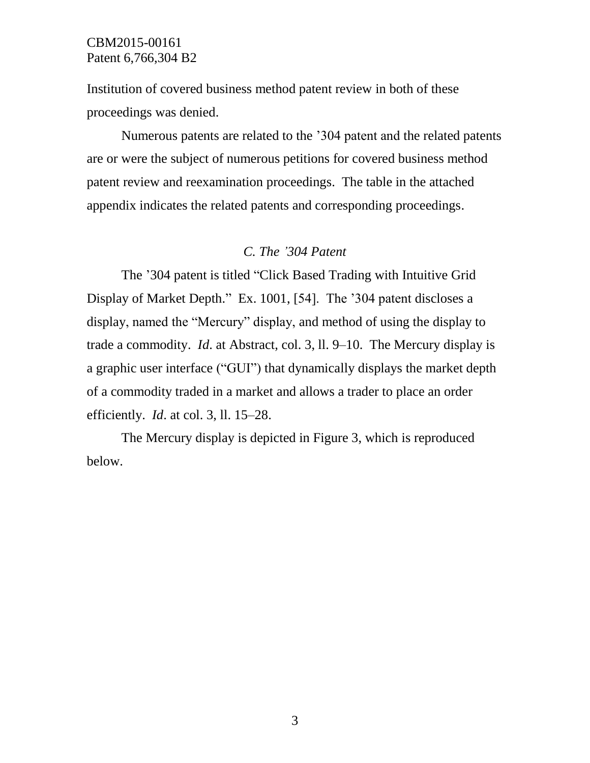Institution of covered business method patent review in both of these proceedings was denied.

Numerous patents are related to the '304 patent and the related patents are or were the subject of numerous petitions for covered business method patent review and reexamination proceedings. The table in the attached appendix indicates the related patents and corresponding proceedings.

#### *C. The '304 Patent*

The '304 patent is titled "Click Based Trading with Intuitive Grid Display of Market Depth." Ex. 1001, [54]. The '304 patent discloses a display, named the "Mercury" display, and method of using the display to trade a commodity. *Id*. at Abstract, col. 3, ll. 9–10. The Mercury display is a graphic user interface ("GUI") that dynamically displays the market depth of a commodity traded in a market and allows a trader to place an order efficiently. *Id*. at col. 3, ll. 15–28.

The Mercury display is depicted in Figure 3, which is reproduced below.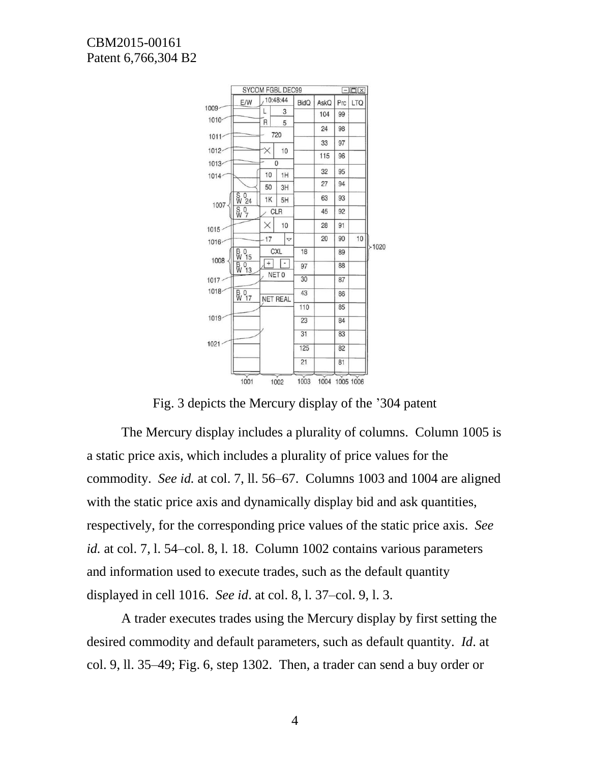

Fig. 3 depicts the Mercury display of the '304 patent

The Mercury display includes a plurality of columns. Column 1005 is a static price axis, which includes a plurality of price values for the commodity. *See id.* at col. 7, ll. 56–67. Columns 1003 and 1004 are aligned with the static price axis and dynamically display bid and ask quantities, respectively, for the corresponding price values of the static price axis. *See id.* at col. 7, l. 54–col. 8, l. 18. Column 1002 contains various parameters and information used to execute trades, such as the default quantity displayed in cell 1016. *See id*. at col. 8, l. 37–col. 9, l. 3.

A trader executes trades using the Mercury display by first setting the desired commodity and default parameters, such as default quantity. *Id*. at col. 9, ll. 35–49; Fig. 6, step 1302. Then, a trader can send a buy order or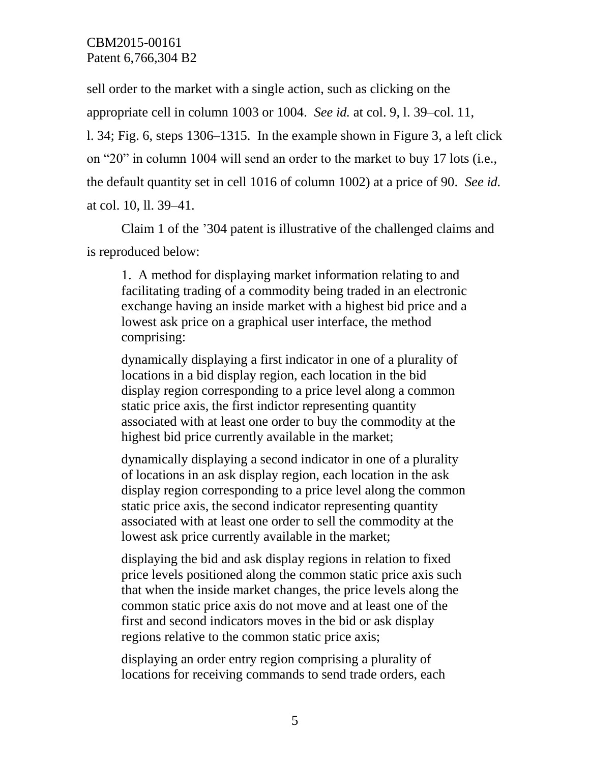sell order to the market with a single action, such as clicking on the appropriate cell in column 1003 or 1004. *See id.* at col. 9, l. 39–col. 11, l. 34; Fig. 6, steps 1306–1315. In the example shown in Figure 3, a left click on "20" in column 1004 will send an order to the market to buy 17 lots (i.e., the default quantity set in cell 1016 of column 1002) at a price of 90. *See id.*  at col. 10, ll. 39–41.

Claim 1 of the '304 patent is illustrative of the challenged claims and is reproduced below:

1. A method for displaying market information relating to and facilitating trading of a commodity being traded in an electronic exchange having an inside market with a highest bid price and a lowest ask price on a graphical user interface, the method comprising:

dynamically displaying a first indicator in one of a plurality of locations in a bid display region, each location in the bid display region corresponding to a price level along a common static price axis, the first indictor representing quantity associated with at least one order to buy the commodity at the highest bid price currently available in the market;

dynamically displaying a second indicator in one of a plurality of locations in an ask display region, each location in the ask display region corresponding to a price level along the common static price axis, the second indicator representing quantity associated with at least one order to sell the commodity at the lowest ask price currently available in the market;

displaying the bid and ask display regions in relation to fixed price levels positioned along the common static price axis such that when the inside market changes, the price levels along the common static price axis do not move and at least one of the first and second indicators moves in the bid or ask display regions relative to the common static price axis;

displaying an order entry region comprising a plurality of locations for receiving commands to send trade orders, each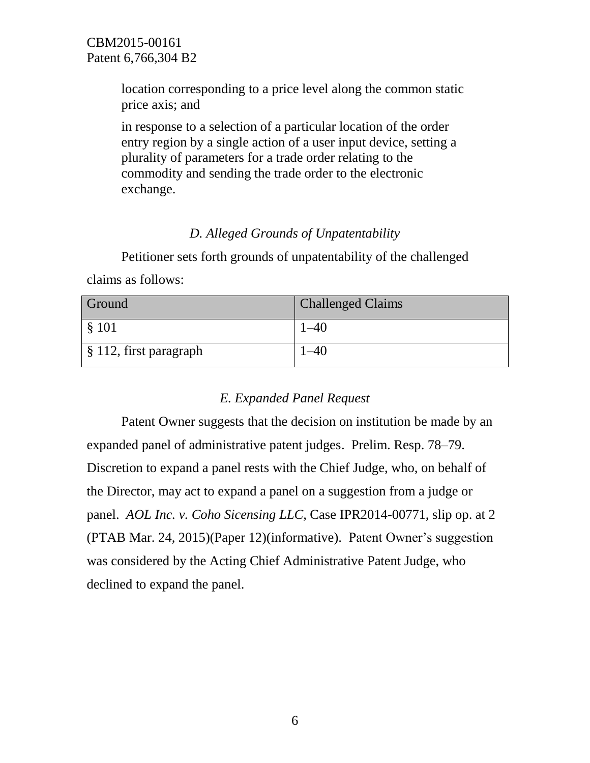location corresponding to a price level along the common static price axis; and

in response to a selection of a particular location of the order entry region by a single action of a user input device, setting a plurality of parameters for a trade order relating to the commodity and sending the trade order to the electronic exchange.

## *D. Alleged Grounds of Unpatentability*

Petitioner sets forth grounds of unpatentability of the challenged claims as follows:

| Ground                                | <b>Challenged Claims</b> |
|---------------------------------------|--------------------------|
| $\frac{1}{2}$ \$ 101                  |                          |
| $\frac{1}{2}$ \$ 112, first paragraph |                          |

## *E. Expanded Panel Request*

Patent Owner suggests that the decision on institution be made by an expanded panel of administrative patent judges. Prelim. Resp. 78–79. Discretion to expand a panel rests with the Chief Judge, who, on behalf of the Director, may act to expand a panel on a suggestion from a judge or panel. *AOL Inc. v. Coho Sicensing LLC,* Case IPR2014-00771, slip op. at 2 (PTAB Mar. 24, 2015)(Paper 12)(informative). Patent Owner's suggestion was considered by the Acting Chief Administrative Patent Judge, who declined to expand the panel.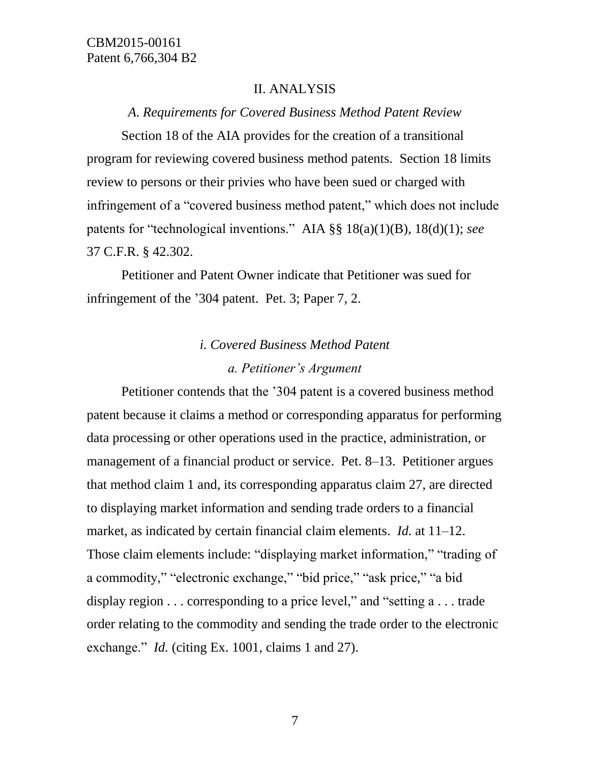## II. ANALYSIS

#### *A*. *Requirements for Covered Business Method Patent Review*

Section 18 of the AIA provides for the creation of a transitional program for reviewing covered business method patents. Section 18 limits review to persons or their privies who have been sued or charged with infringement of a "covered business method patent," which does not include patents for "technological inventions." AIA §§ 18(a)(1)(B), 18(d)(1); *see* 37 C.F.R. § 42.302.

Petitioner and Patent Owner indicate that Petitioner was sued for infringement of the '304 patent. Pet. 3; Paper 7, 2.

# *i. Covered Business Method Patent a. Petitioner's Argument*

Petitioner contends that the '304 patent is a covered business method patent because it claims a method or corresponding apparatus for performing data processing or other operations used in the practice, administration, or management of a financial product or service. Pet. 8–13. Petitioner argues that method claim 1 and, its corresponding apparatus claim 27, are directed to displaying market information and sending trade orders to a financial market, as indicated by certain financial claim elements. *Id.* at 11–12. Those claim elements include: "displaying market information," "trading of a commodity," "electronic exchange," "bid price," "ask price," "a bid display region . . . corresponding to a price level," and "setting a . . . trade order relating to the commodity and sending the trade order to the electronic exchange." *Id.* (citing Ex. 1001, claims 1 and 27).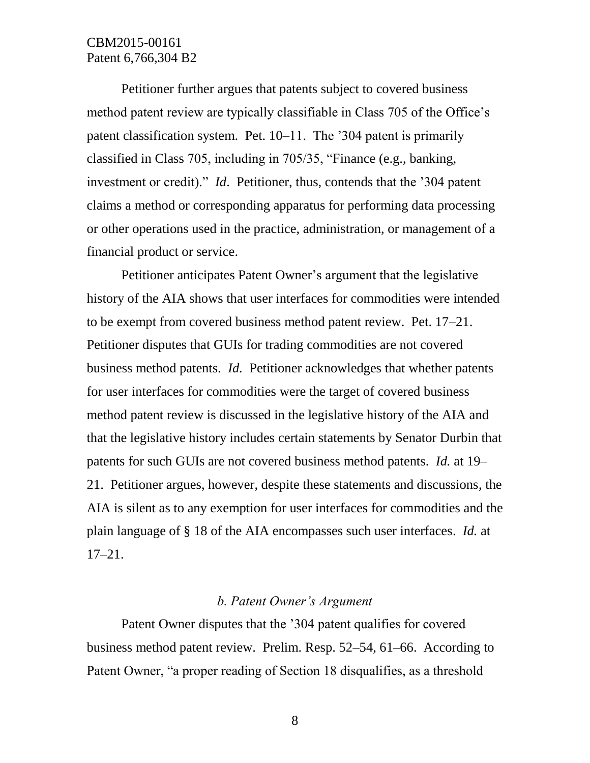Petitioner further argues that patents subject to covered business method patent review are typically classifiable in Class 705 of the Office's patent classification system. Pet. 10–11. The '304 patent is primarily classified in Class 705, including in 705/35, "Finance (e.g., banking, investment or credit)." *Id*. Petitioner, thus, contends that the '304 patent claims a method or corresponding apparatus for performing data processing or other operations used in the practice, administration, or management of a financial product or service.

Petitioner anticipates Patent Owner's argument that the legislative history of the AIA shows that user interfaces for commodities were intended to be exempt from covered business method patent review. Pet. 17–21. Petitioner disputes that GUIs for trading commodities are not covered business method patents. *Id.* Petitioner acknowledges that whether patents for user interfaces for commodities were the target of covered business method patent review is discussed in the legislative history of the AIA and that the legislative history includes certain statements by Senator Durbin that patents for such GUIs are not covered business method patents. *Id.* at 19– 21. Petitioner argues, however, despite these statements and discussions, the AIA is silent as to any exemption for user interfaces for commodities and the plain language of § 18 of the AIA encompasses such user interfaces. *Id.* at 17–21.

#### *b. Patent Owner's Argument*

Patent Owner disputes that the '304 patent qualifies for covered business method patent review. Prelim. Resp. 52–54, 61–66. According to Patent Owner, "a proper reading of Section 18 disqualifies, as a threshold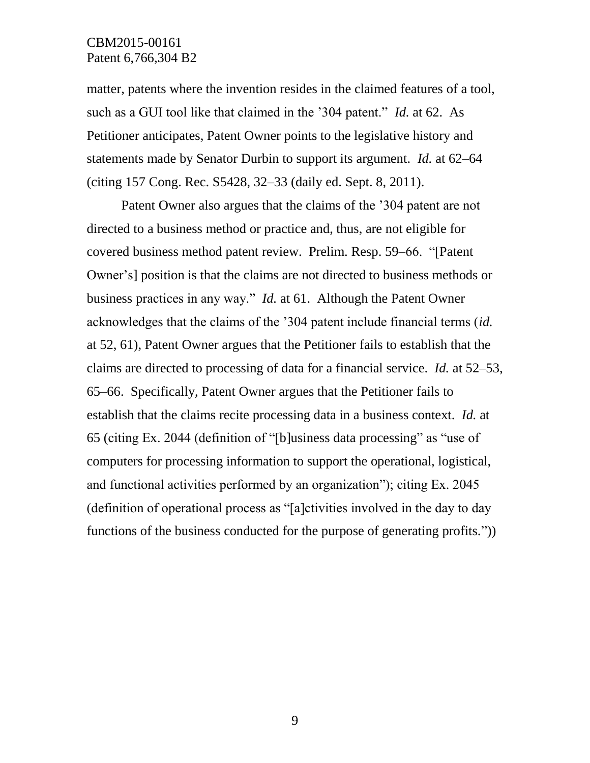matter, patents where the invention resides in the claimed features of a tool, such as a GUI tool like that claimed in the '304 patent." *Id.* at 62. As Petitioner anticipates, Patent Owner points to the legislative history and statements made by Senator Durbin to support its argument. *Id.* at 62–64 (citing 157 Cong. Rec. S5428, 32–33 (daily ed. Sept. 8, 2011).

Patent Owner also argues that the claims of the '304 patent are not directed to a business method or practice and, thus, are not eligible for covered business method patent review. Prelim. Resp. 59–66. "[Patent Owner's] position is that the claims are not directed to business methods or business practices in any way." *Id.* at 61. Although the Patent Owner acknowledges that the claims of the '304 patent include financial terms (*id.* at 52, 61), Patent Owner argues that the Petitioner fails to establish that the claims are directed to processing of data for a financial service. *Id.* at 52–53, 65–66. Specifically, Patent Owner argues that the Petitioner fails to establish that the claims recite processing data in a business context. *Id.* at 65 (citing Ex. 2044 (definition of "[b]usiness data processing" as "use of computers for processing information to support the operational, logistical, and functional activities performed by an organization"); citing Ex. 2045 (definition of operational process as "[a]ctivities involved in the day to day functions of the business conducted for the purpose of generating profits."))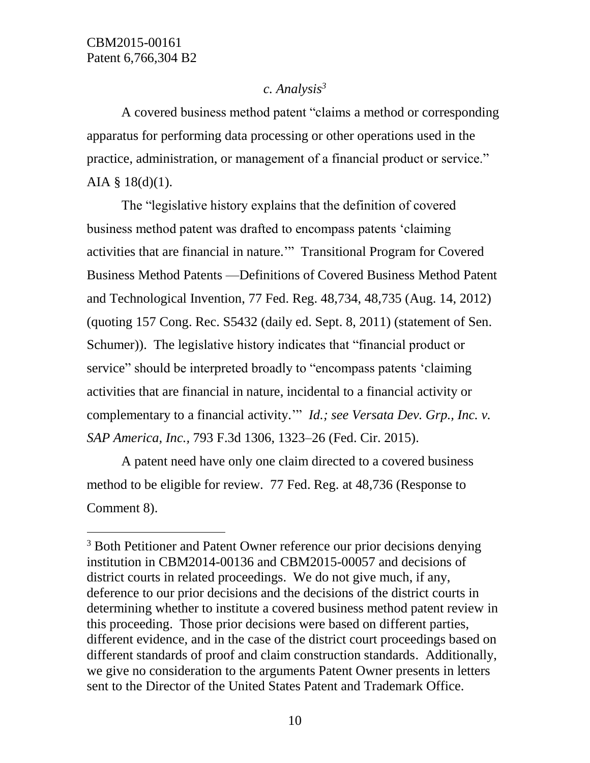l

## *c. Analysis<sup>3</sup>*

A covered business method patent "claims a method or corresponding apparatus for performing data processing or other operations used in the practice, administration, or management of a financial product or service." AIA § 18(d)(1).

The "legislative history explains that the definition of covered business method patent was drafted to encompass patents 'claiming activities that are financial in nature.'" Transitional Program for Covered Business Method Patents —Definitions of Covered Business Method Patent and Technological Invention, 77 Fed. Reg. 48,734, 48,735 (Aug. 14, 2012) (quoting 157 Cong. Rec. S5432 (daily ed. Sept. 8, 2011) (statement of Sen. Schumer)). The legislative history indicates that "financial product or service" should be interpreted broadly to "encompass patents 'claiming activities that are financial in nature, incidental to a financial activity or complementary to a financial activity.'" *Id.; see Versata Dev. Grp., Inc. v. SAP America, Inc.,* 793 F.3d 1306, 1323–26 (Fed. Cir. 2015).

A patent need have only one claim directed to a covered business method to be eligible for review. 77 Fed. Reg. at 48,736 (Response to Comment 8).

<sup>&</sup>lt;sup>3</sup> Both Petitioner and Patent Owner reference our prior decisions denying institution in CBM2014-00136 and CBM2015-00057 and decisions of district courts in related proceedings. We do not give much, if any, deference to our prior decisions and the decisions of the district courts in determining whether to institute a covered business method patent review in this proceeding. Those prior decisions were based on different parties, different evidence, and in the case of the district court proceedings based on different standards of proof and claim construction standards. Additionally, we give no consideration to the arguments Patent Owner presents in letters sent to the Director of the United States Patent and Trademark Office.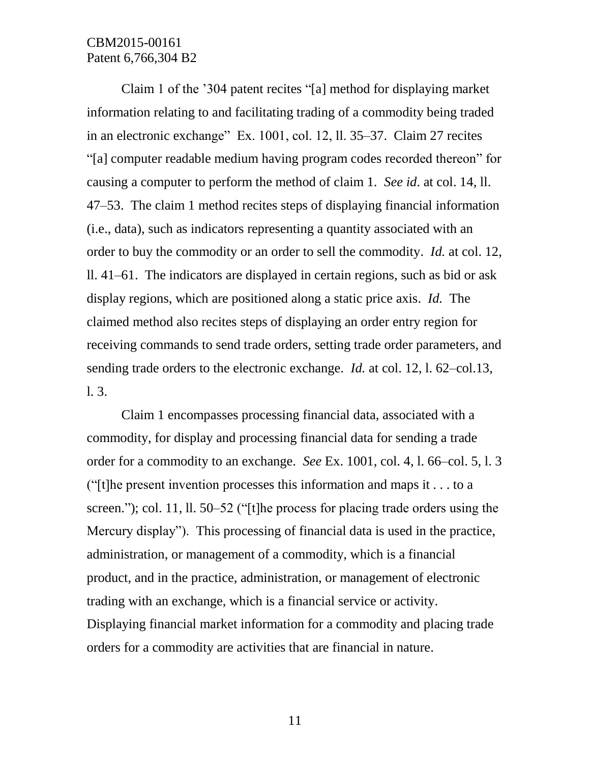Claim 1 of the '304 patent recites "[a] method for displaying market information relating to and facilitating trading of a commodity being traded in an electronic exchange" Ex. 1001, col. 12, ll. 35–37. Claim 27 recites "[a] computer readable medium having program codes recorded thereon" for causing a computer to perform the method of claim 1. *See id*. at col. 14, ll. 47–53. The claim 1 method recites steps of displaying financial information (i.e., data), such as indicators representing a quantity associated with an order to buy the commodity or an order to sell the commodity. *Id.* at col. 12, ll. 41–61. The indicators are displayed in certain regions, such as bid or ask display regions, which are positioned along a static price axis. *Id.* The claimed method also recites steps of displaying an order entry region for receiving commands to send trade orders, setting trade order parameters, and sending trade orders to the electronic exchange. *Id.* at col. 12, l. 62–col.13, l. 3.

Claim 1 encompasses processing financial data, associated with a commodity, for display and processing financial data for sending a trade order for a commodity to an exchange. *See* Ex. 1001, col. 4, l. 66–col. 5, l. 3 ("[t]he present invention processes this information and maps it  $\dots$  to a screen."); col. 11, ll. 50–52 ("[t]he process for placing trade orders using the Mercury display"). This processing of financial data is used in the practice, administration, or management of a commodity, which is a financial product, and in the practice, administration, or management of electronic trading with an exchange, which is a financial service or activity. Displaying financial market information for a commodity and placing trade orders for a commodity are activities that are financial in nature.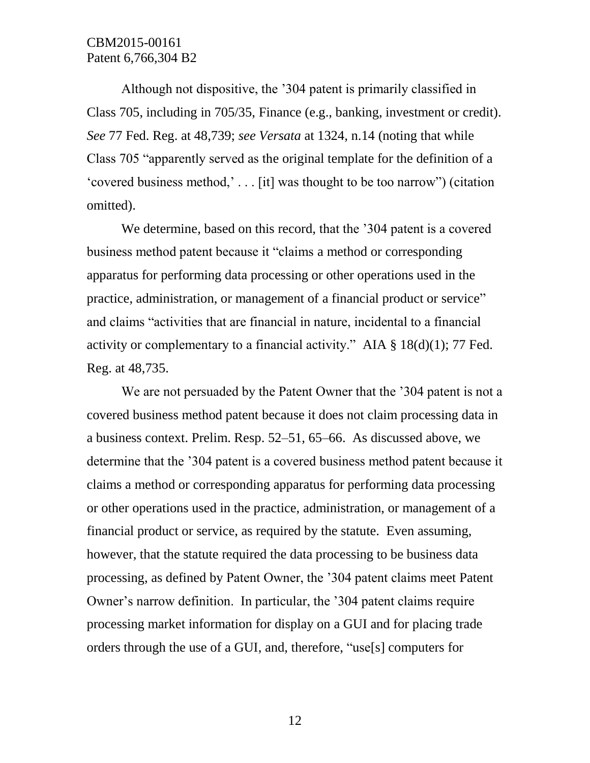Although not dispositive, the '304 patent is primarily classified in Class 705, including in 705/35, Finance (e.g., banking, investment or credit). *See* 77 Fed. Reg. at 48,739; *see Versata* at 1324, n.14 (noting that while Class 705 "apparently served as the original template for the definition of a 'covered business method,' . . . [it] was thought to be too narrow") (citation omitted).

We determine, based on this record, that the '304 patent is a covered business method patent because it "claims a method or corresponding apparatus for performing data processing or other operations used in the practice, administration, or management of a financial product or service" and claims "activities that are financial in nature, incidental to a financial activity or complementary to a financial activity." AIA  $\S$  18(d)(1); 77 Fed. Reg. at 48,735.

We are not persuaded by the Patent Owner that the '304 patent is not a covered business method patent because it does not claim processing data in a business context. Prelim. Resp. 52–51, 65–66. As discussed above, we determine that the '304 patent is a covered business method patent because it claims a method or corresponding apparatus for performing data processing or other operations used in the practice, administration, or management of a financial product or service, as required by the statute. Even assuming, however, that the statute required the data processing to be business data processing, as defined by Patent Owner, the '304 patent claims meet Patent Owner's narrow definition. In particular, the '304 patent claims require processing market information for display on a GUI and for placing trade orders through the use of a GUI, and, therefore, "use[s] computers for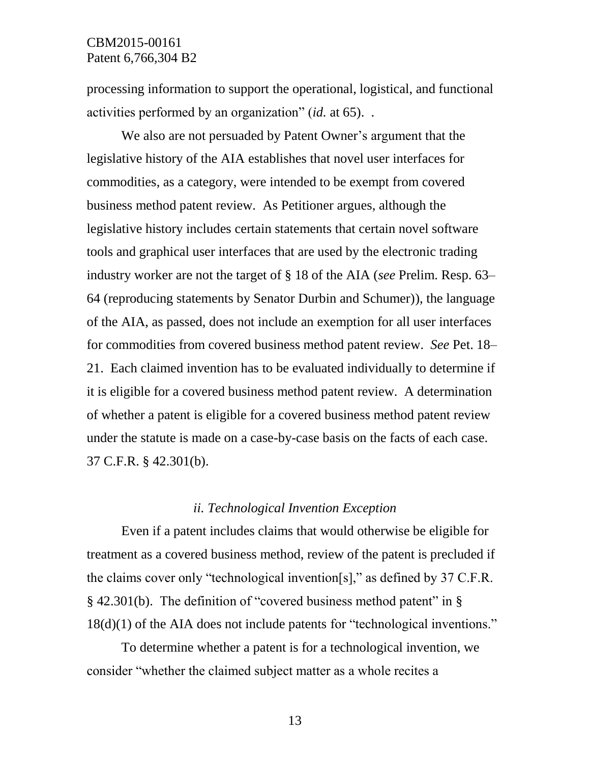processing information to support the operational, logistical, and functional activities performed by an organization" (*id.* at 65). .

We also are not persuaded by Patent Owner's argument that the legislative history of the AIA establishes that novel user interfaces for commodities, as a category, were intended to be exempt from covered business method patent review. As Petitioner argues, although the legislative history includes certain statements that certain novel software tools and graphical user interfaces that are used by the electronic trading industry worker are not the target of § 18 of the AIA (*see* Prelim. Resp. 63– 64 (reproducing statements by Senator Durbin and Schumer)), the language of the AIA, as passed, does not include an exemption for all user interfaces for commodities from covered business method patent review. *See* Pet. 18– 21. Each claimed invention has to be evaluated individually to determine if it is eligible for a covered business method patent review. A determination of whether a patent is eligible for a covered business method patent review under the statute is made on a case-by-case basis on the facts of each case. 37 C.F.R. § 42.301(b).

#### *ii. Technological Invention Exception*

Even if a patent includes claims that would otherwise be eligible for treatment as a covered business method, review of the patent is precluded if the claims cover only "technological invention[s]," as defined by 37 C.F.R. § 42.301(b). The definition of "covered business method patent" in § 18(d)(1) of the AIA does not include patents for "technological inventions."

To determine whether a patent is for a technological invention, we consider "whether the claimed subject matter as a whole recites a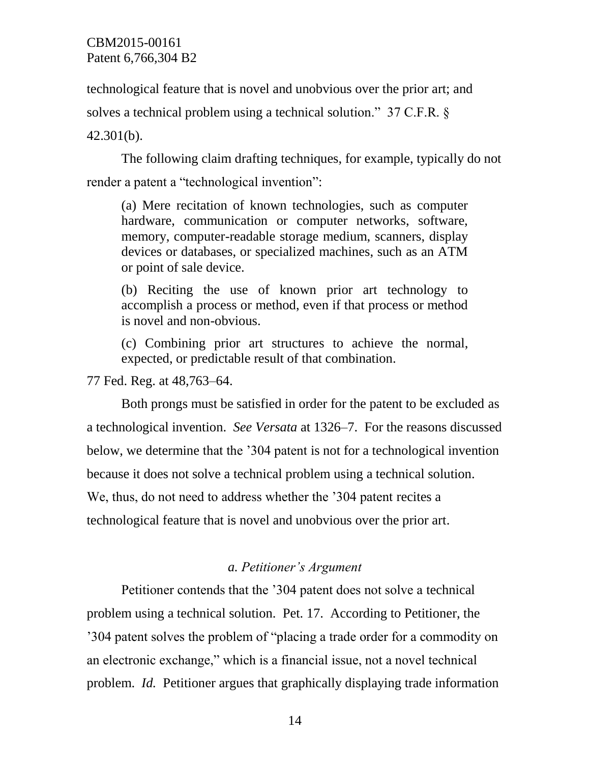technological feature that is novel and unobvious over the prior art; and

solves a technical problem using a technical solution." 37 C.F.R. §

42.301(b).

The following claim drafting techniques, for example, typically do not render a patent a "technological invention":

(a) Mere recitation of known technologies, such as computer hardware, communication or computer networks, software, memory, computer-readable storage medium, scanners, display devices or databases, or specialized machines, such as an ATM or point of sale device.

(b) Reciting the use of known prior art technology to accomplish a process or method, even if that process or method is novel and non-obvious.

(c) Combining prior art structures to achieve the normal, expected, or predictable result of that combination.

77 Fed. Reg. at 48,763–64.

Both prongs must be satisfied in order for the patent to be excluded as a technological invention. *See Versata* at 1326–7. For the reasons discussed below, we determine that the '304 patent is not for a technological invention because it does not solve a technical problem using a technical solution. We, thus, do not need to address whether the '304 patent recites a technological feature that is novel and unobvious over the prior art.

## *a. Petitioner's Argument*

Petitioner contends that the '304 patent does not solve a technical problem using a technical solution. Pet. 17. According to Petitioner, the '304 patent solves the problem of "placing a trade order for a commodity on an electronic exchange," which is a financial issue, not a novel technical problem. *Id.* Petitioner argues that graphically displaying trade information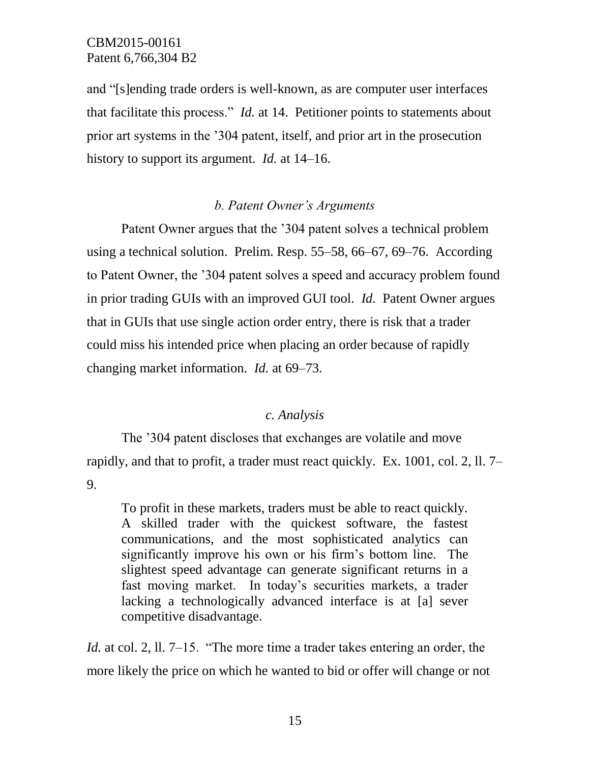and "[s]ending trade orders is well-known, as are computer user interfaces that facilitate this process." *Id.* at 14. Petitioner points to statements about prior art systems in the '304 patent, itself, and prior art in the prosecution history to support its argument. *Id.* at 14–16.

## *b. Patent Owner's Arguments*

Patent Owner argues that the '304 patent solves a technical problem using a technical solution. Prelim. Resp. 55–58, 66–67, 69–76. According to Patent Owner, the '304 patent solves a speed and accuracy problem found in prior trading GUIs with an improved GUI tool. *Id.* Patent Owner argues that in GUIs that use single action order entry, there is risk that a trader could miss his intended price when placing an order because of rapidly changing market information. *Id.* at 69–73.

#### *c. Analysis*

The '304 patent discloses that exchanges are volatile and move rapidly, and that to profit, a trader must react quickly. Ex. 1001, col. 2, ll. 7– 9.

To profit in these markets, traders must be able to react quickly. A skilled trader with the quickest software, the fastest communications, and the most sophisticated analytics can significantly improve his own or his firm's bottom line. The slightest speed advantage can generate significant returns in a fast moving market. In today's securities markets, a trader lacking a technologically advanced interface is at [a] sever competitive disadvantage.

*Id.* at col. 2, 11. 7–15. "The more time a trader takes entering an order, the more likely the price on which he wanted to bid or offer will change or not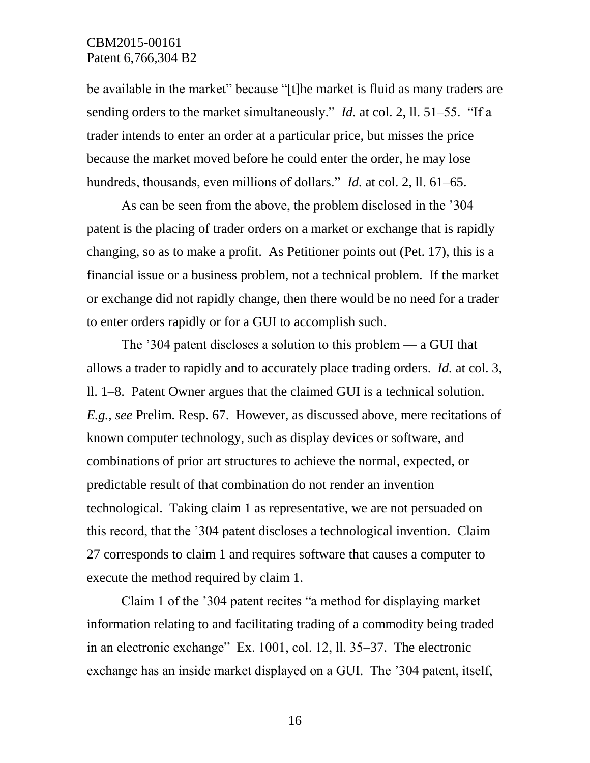be available in the market" because "[t]he market is fluid as many traders are sending orders to the market simultaneously." *Id.* at col. 2, ll. 51–55. "If a trader intends to enter an order at a particular price, but misses the price because the market moved before he could enter the order, he may lose hundreds, thousands, even millions of dollars." *Id.* at col. 2, ll. 61–65.

As can be seen from the above, the problem disclosed in the '304 patent is the placing of trader orders on a market or exchange that is rapidly changing, so as to make a profit. As Petitioner points out (Pet. 17), this is a financial issue or a business problem, not a technical problem. If the market or exchange did not rapidly change, then there would be no need for a trader to enter orders rapidly or for a GUI to accomplish such.

The '304 patent discloses a solution to this problem — a GUI that allows a trader to rapidly and to accurately place trading orders. *Id.* at col. 3, ll. 1–8. Patent Owner argues that the claimed GUI is a technical solution. *E.g., see* Prelim. Resp. 67. However, as discussed above, mere recitations of known computer technology, such as display devices or software, and combinations of prior art structures to achieve the normal, expected, or predictable result of that combination do not render an invention technological. Taking claim 1 as representative, we are not persuaded on this record, that the '304 patent discloses a technological invention. Claim 27 corresponds to claim 1 and requires software that causes a computer to execute the method required by claim 1.

Claim 1 of the '304 patent recites "a method for displaying market information relating to and facilitating trading of a commodity being traded in an electronic exchange" Ex. 1001, col. 12, ll. 35–37. The electronic exchange has an inside market displayed on a GUI. The '304 patent, itself,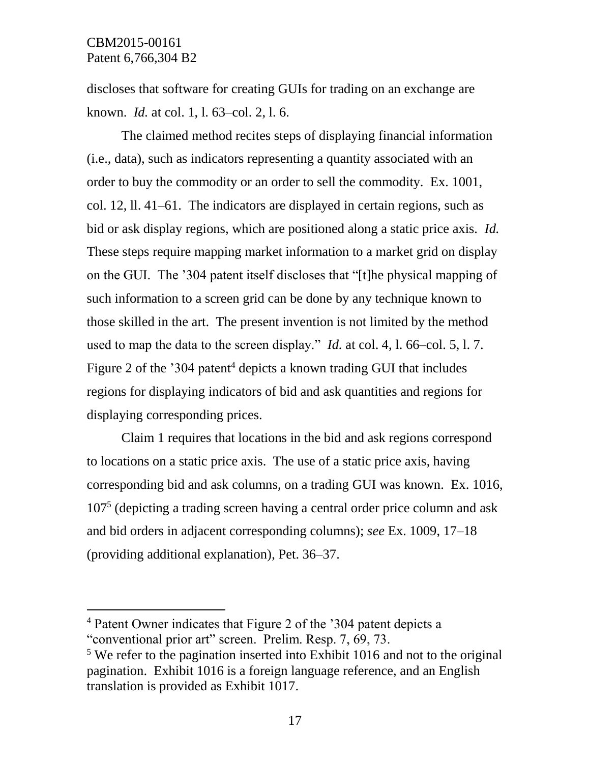$\overline{a}$ 

discloses that software for creating GUIs for trading on an exchange are known. *Id.* at col. 1, l. 63–col. 2, l. 6.

The claimed method recites steps of displaying financial information (i.e., data), such as indicators representing a quantity associated with an order to buy the commodity or an order to sell the commodity. Ex. 1001, col. 12, ll. 41–61. The indicators are displayed in certain regions, such as bid or ask display regions, which are positioned along a static price axis. *Id.*  These steps require mapping market information to a market grid on display on the GUI. The '304 patent itself discloses that "[t]he physical mapping of such information to a screen grid can be done by any technique known to those skilled in the art. The present invention is not limited by the method used to map the data to the screen display." *Id.* at col. 4, l. 66–col. 5, l. 7. Figure 2 of the '304 patent<sup>4</sup> depicts a known trading GUI that includes regions for displaying indicators of bid and ask quantities and regions for displaying corresponding prices.

Claim 1 requires that locations in the bid and ask regions correspond to locations on a static price axis. The use of a static price axis, having corresponding bid and ask columns, on a trading GUI was known. Ex. 1016, 107<sup>5</sup> (depicting a trading screen having a central order price column and ask and bid orders in adjacent corresponding columns); *see* Ex. 1009, 17–18 (providing additional explanation), Pet. 36–37.

<sup>4</sup> Patent Owner indicates that Figure 2 of the '304 patent depicts a "conventional prior art" screen. Prelim. Resp. 7, 69, 73.

<sup>&</sup>lt;sup>5</sup> We refer to the pagination inserted into Exhibit 1016 and not to the original pagination. Exhibit 1016 is a foreign language reference, and an English translation is provided as Exhibit 1017.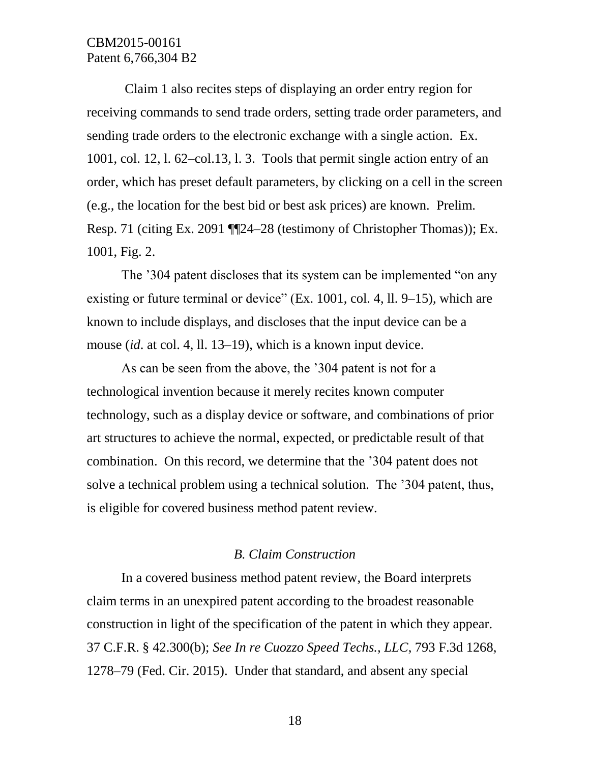Claim 1 also recites steps of displaying an order entry region for receiving commands to send trade orders, setting trade order parameters, and sending trade orders to the electronic exchange with a single action. Ex. 1001, col. 12, l. 62–col.13, l. 3. Tools that permit single action entry of an order, which has preset default parameters, by clicking on a cell in the screen (e.g., the location for the best bid or best ask prices) are known. Prelim. Resp. 71 (citing Ex. 2091 ¶¶24–28 (testimony of Christopher Thomas)); Ex. 1001, Fig. 2.

The '304 patent discloses that its system can be implemented "on any existing or future terminal or device" (Ex. 1001, col. 4, ll. 9–15), which are known to include displays, and discloses that the input device can be a mouse (*id*. at col. 4, ll. 13–19), which is a known input device.

As can be seen from the above, the '304 patent is not for a technological invention because it merely recites known computer technology, such as a display device or software, and combinations of prior art structures to achieve the normal, expected, or predictable result of that combination. On this record, we determine that the '304 patent does not solve a technical problem using a technical solution. The '304 patent, thus, is eligible for covered business method patent review.

#### *B. Claim Construction*

In a covered business method patent review, the Board interprets claim terms in an unexpired patent according to the broadest reasonable construction in light of the specification of the patent in which they appear. 37 C.F.R. § 42.300(b); *See In re Cuozzo Speed Techs., LLC*, 793 F.3d 1268, 1278–79 (Fed. Cir. 2015). Under that standard, and absent any special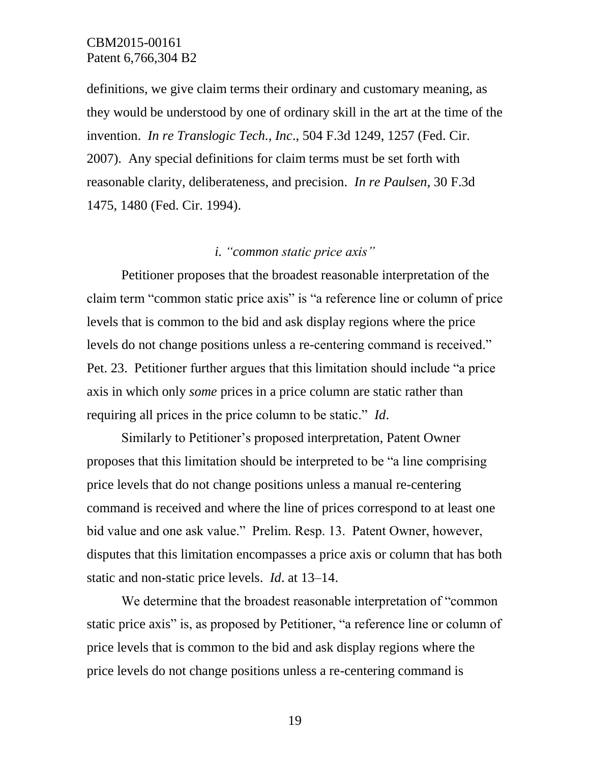definitions, we give claim terms their ordinary and customary meaning, as they would be understood by one of ordinary skill in the art at the time of the invention. *In re Translogic Tech., Inc*., 504 F.3d 1249, 1257 (Fed. Cir. 2007). Any special definitions for claim terms must be set forth with reasonable clarity, deliberateness, and precision. *In re Paulsen*, 30 F.3d 1475, 1480 (Fed. Cir. 1994).

## *i. "common static price axis"*

Petitioner proposes that the broadest reasonable interpretation of the claim term "common static price axis" is "a reference line or column of price levels that is common to the bid and ask display regions where the price levels do not change positions unless a re-centering command is received." Pet. 23. Petitioner further argues that this limitation should include "a price axis in which only *some* prices in a price column are static rather than requiring all prices in the price column to be static." *Id*.

Similarly to Petitioner's proposed interpretation, Patent Owner proposes that this limitation should be interpreted to be "a line comprising price levels that do not change positions unless a manual re-centering command is received and where the line of prices correspond to at least one bid value and one ask value." Prelim. Resp. 13. Patent Owner, however, disputes that this limitation encompasses a price axis or column that has both static and non-static price levels. *Id*. at 13–14.

We determine that the broadest reasonable interpretation of "common static price axis" is, as proposed by Petitioner, "a reference line or column of price levels that is common to the bid and ask display regions where the price levels do not change positions unless a re-centering command is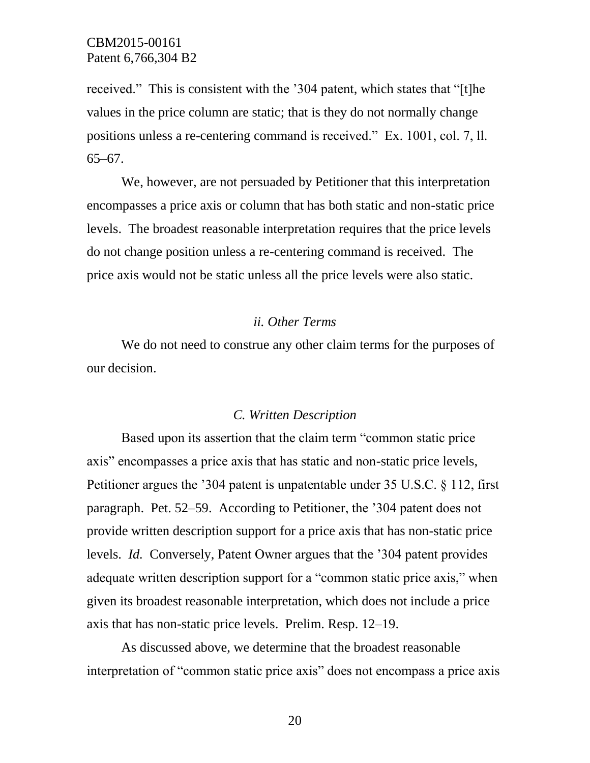received." This is consistent with the '304 patent, which states that "[t]he values in the price column are static; that is they do not normally change positions unless a re-centering command is received." Ex. 1001, col. 7, ll. 65–67.

We, however, are not persuaded by Petitioner that this interpretation encompasses a price axis or column that has both static and non-static price levels. The broadest reasonable interpretation requires that the price levels do not change position unless a re-centering command is received. The price axis would not be static unless all the price levels were also static.

#### *ii. Other Terms*

We do not need to construe any other claim terms for the purposes of our decision.

#### *C. Written Description*

Based upon its assertion that the claim term "common static price axis" encompasses a price axis that has static and non-static price levels, Petitioner argues the '304 patent is unpatentable under 35 U.S.C. § 112, first paragraph. Pet. 52–59. According to Petitioner, the '304 patent does not provide written description support for a price axis that has non-static price levels. *Id.* Conversely, Patent Owner argues that the '304 patent provides adequate written description support for a "common static price axis," when given its broadest reasonable interpretation, which does not include a price axis that has non-static price levels. Prelim. Resp. 12–19.

As discussed above, we determine that the broadest reasonable interpretation of "common static price axis" does not encompass a price axis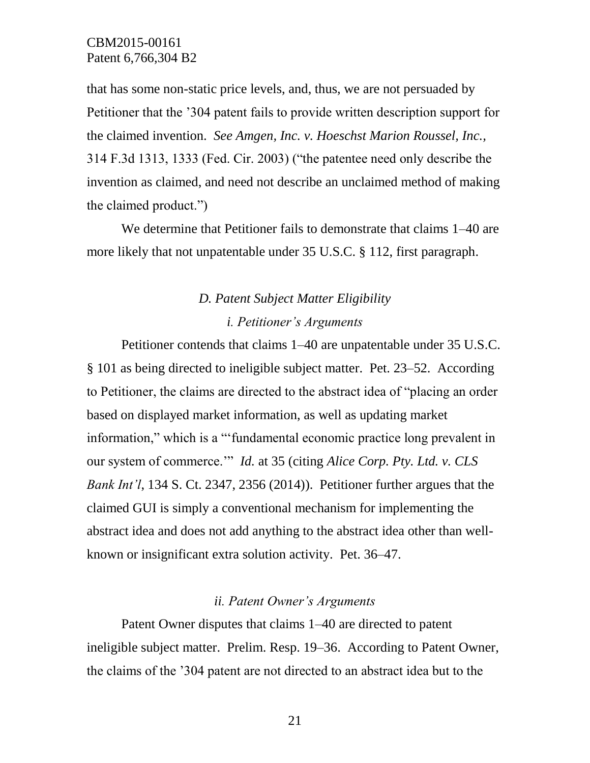that has some non-static price levels, and, thus, we are not persuaded by Petitioner that the '304 patent fails to provide written description support for the claimed invention. *See Amgen, Inc. v. Hoeschst Marion Roussel, Inc.,*  314 F.3d 1313, 1333 (Fed. Cir. 2003) ("the patentee need only describe the invention as claimed, and need not describe an unclaimed method of making the claimed product.")

We determine that Petitioner fails to demonstrate that claims 1–40 are more likely that not unpatentable under 35 U.S.C. § 112, first paragraph.

# *D. Patent Subject Matter Eligibility i. Petitioner's Arguments*

Petitioner contends that claims 1–40 are unpatentable under 35 U.S.C. § 101 as being directed to ineligible subject matter. Pet. 23–52. According to Petitioner, the claims are directed to the abstract idea of "placing an order based on displayed market information, as well as updating market information," which is a "'fundamental economic practice long prevalent in our system of commerce.'" *Id.* at 35 (citing *Alice Corp. Pty. Ltd. v. CLS Bank Int'l*, 134 S. Ct. 2347, 2356 (2014)). Petitioner further argues that the claimed GUI is simply a conventional mechanism for implementing the abstract idea and does not add anything to the abstract idea other than wellknown or insignificant extra solution activity. Pet. 36–47.

#### *ii. Patent Owner's Arguments*

Patent Owner disputes that claims 1–40 are directed to patent ineligible subject matter. Prelim. Resp. 19–36. According to Patent Owner, the claims of the '304 patent are not directed to an abstract idea but to the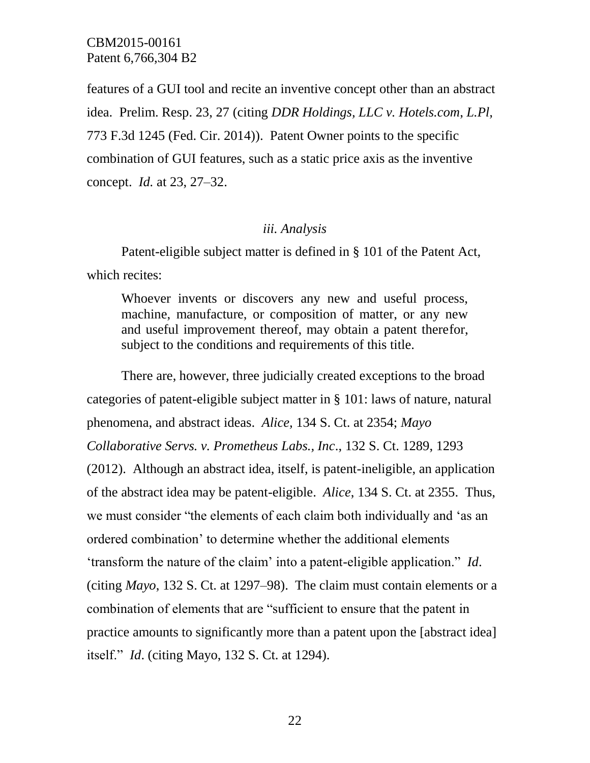features of a GUI tool and recite an inventive concept other than an abstract idea. Prelim. Resp. 23, 27 (citing *DDR Holdings, LLC v. Hotels.com*, *L.Pl,*  773 F.3d 1245 (Fed. Cir. 2014)). Patent Owner points to the specific combination of GUI features, such as a static price axis as the inventive concept. *Id.* at 23, 27–32.

#### *iii. Analysis*

Patent-eligible subject matter is defined in § 101 of the Patent Act, which recites:

Whoever invents or discovers any new and useful process, machine, manufacture, or composition of matter, or any new and useful improvement thereof, may obtain a patent therefor, subject to the conditions and requirements of this title.

There are, however, three judicially created exceptions to the broad categories of patent-eligible subject matter in § 101: laws of nature, natural phenomena, and abstract ideas. *Alice,* 134 S. Ct. at 2354; *Mayo Collaborative Servs. v. Prometheus Labs., Inc*., 132 S. Ct. 1289, 1293 (2012). Although an abstract idea, itself, is patent-ineligible, an application of the abstract idea may be patent-eligible. *Alice*, 134 S. Ct. at 2355. Thus, we must consider "the elements of each claim both individually and 'as an ordered combination' to determine whether the additional elements 'transform the nature of the claim' into a patent-eligible application." *Id*. (citing *Mayo*, 132 S. Ct. at 1297–98). The claim must contain elements or a combination of elements that are "sufficient to ensure that the patent in practice amounts to significantly more than a patent upon the [abstract idea] itself." *Id*. (citing Mayo, 132 S. Ct. at 1294).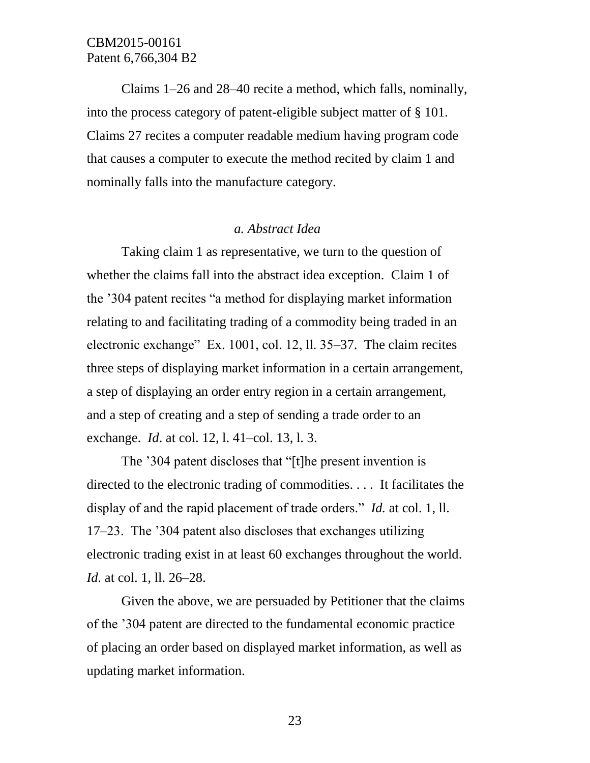Claims 1–26 and 28–40 recite a method, which falls, nominally, into the process category of patent-eligible subject matter of § 101. Claims 27 recites a computer readable medium having program code that causes a computer to execute the method recited by claim 1 and nominally falls into the manufacture category.

#### *a. Abstract Idea*

Taking claim 1 as representative, we turn to the question of whether the claims fall into the abstract idea exception. Claim 1 of the '304 patent recites "a method for displaying market information relating to and facilitating trading of a commodity being traded in an electronic exchange" Ex. 1001, col. 12, ll. 35–37. The claim recites three steps of displaying market information in a certain arrangement, a step of displaying an order entry region in a certain arrangement, and a step of creating and a step of sending a trade order to an exchange. *Id*. at col. 12, l. 41–col. 13, l. 3.

The '304 patent discloses that "[t]he present invention is directed to the electronic trading of commodities. . . . It facilitates the display of and the rapid placement of trade orders." *Id.* at col. 1, ll. 17–23. The '304 patent also discloses that exchanges utilizing electronic trading exist in at least 60 exchanges throughout the world. *Id.* at col. 1, ll. 26–28.

Given the above, we are persuaded by Petitioner that the claims of the '304 patent are directed to the fundamental economic practice of placing an order based on displayed market information, as well as updating market information.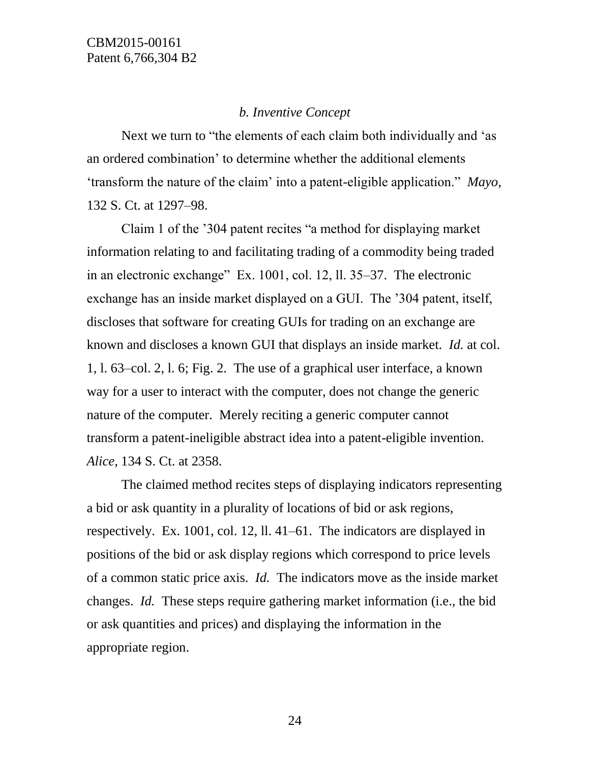## *b. Inventive Concept*

Next we turn to "the elements of each claim both individually and 'as an ordered combination' to determine whether the additional elements 'transform the nature of the claim' into a patent-eligible application." *Mayo*, 132 S. Ct. at 1297–98.

Claim 1 of the '304 patent recites "a method for displaying market information relating to and facilitating trading of a commodity being traded in an electronic exchange" Ex. 1001, col. 12, ll. 35–37. The electronic exchange has an inside market displayed on a GUI. The '304 patent, itself, discloses that software for creating GUIs for trading on an exchange are known and discloses a known GUI that displays an inside market. *Id.* at col. 1, l. 63–col. 2, l. 6; Fig. 2. The use of a graphical user interface, a known way for a user to interact with the computer, does not change the generic nature of the computer. Merely reciting a generic computer cannot transform a patent-ineligible abstract idea into a patent-eligible invention. *Alice*, 134 S. Ct. at 2358.

The claimed method recites steps of displaying indicators representing a bid or ask quantity in a plurality of locations of bid or ask regions, respectively. Ex. 1001, col. 12, ll. 41–61. The indicators are displayed in positions of the bid or ask display regions which correspond to price levels of a common static price axis. *Id.* The indicators move as the inside market changes. *Id.* These steps require gathering market information (i.e., the bid or ask quantities and prices) and displaying the information in the appropriate region.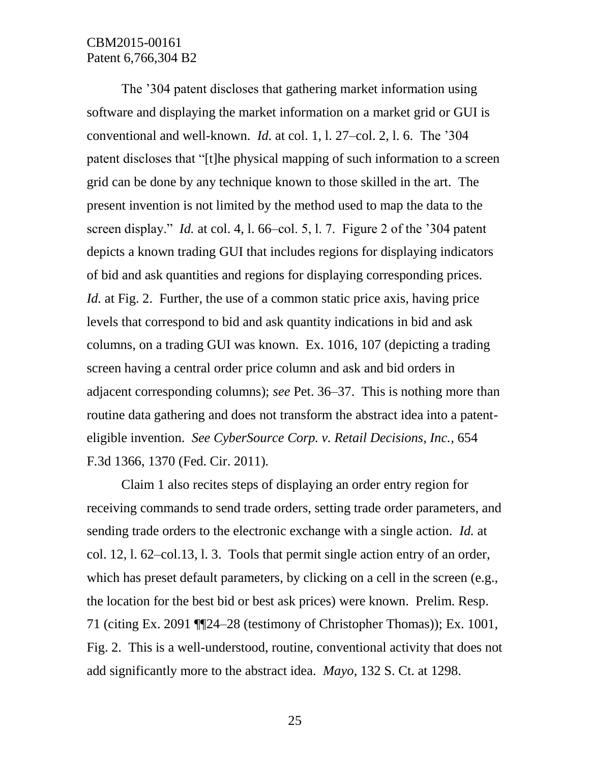The '304 patent discloses that gathering market information using software and displaying the market information on a market grid or GUI is conventional and well-known. *Id.* at col. 1, l. 27–col. 2, l. 6. The '304 patent discloses that "[t]he physical mapping of such information to a screen grid can be done by any technique known to those skilled in the art. The present invention is not limited by the method used to map the data to the screen display." *Id.* at col. 4, l. 66–col. 5, l. 7. Figure 2 of the '304 patent depicts a known trading GUI that includes regions for displaying indicators of bid and ask quantities and regions for displaying corresponding prices. *Id.* at Fig. 2. Further, the use of a common static price axis, having price levels that correspond to bid and ask quantity indications in bid and ask columns, on a trading GUI was known. Ex. 1016, 107 (depicting a trading screen having a central order price column and ask and bid orders in adjacent corresponding columns); *see* Pet. 36–37. This is nothing more than routine data gathering and does not transform the abstract idea into a patenteligible invention. *See [CyberSource Corp. v. Retail Decisions, Inc.,](http://web2.westlaw.com/find/default.wl?mt=PatentPrac&db=0000506&rs=WLW15.01&tc=-1&rp=%2ffind%2fdefault.wl&findtype=Y&ordoc=2034310643&serialnum=2025880702&vr=2.0&fn=_top&sv=Split&tf=-1&referencepositiontype=S&pbc=19B18645&referenceposition=1374&utid=2)* 654 F*.*3d 1366, [1370 \(Fed. Cir. 2011\)](http://web2.westlaw.com/find/default.wl?mt=PatentPrac&db=0000506&rs=WLW15.01&tc=-1&rp=%2ffind%2fdefault.wl&findtype=Y&ordoc=2034310643&serialnum=2025880702&vr=2.0&fn=_top&sv=Split&tf=-1&referencepositiontype=S&pbc=19B18645&referenceposition=1374&utid=2)*.*

Claim 1 also recites steps of displaying an order entry region for receiving commands to send trade orders, setting trade order parameters, and sending trade orders to the electronic exchange with a single action. *Id.* at col. 12, l. 62–col.13, l. 3. Tools that permit single action entry of an order, which has preset default parameters, by clicking on a cell in the screen (e.g., the location for the best bid or best ask prices) were known. Prelim. Resp. 71 (citing Ex. 2091 ¶¶24–28 (testimony of Christopher Thomas)); Ex. 1001, Fig. 2. This is a well-understood, routine, conventional activity that does not add significantly more to the abstract idea. *Mayo*, 132 S. Ct. at 1298.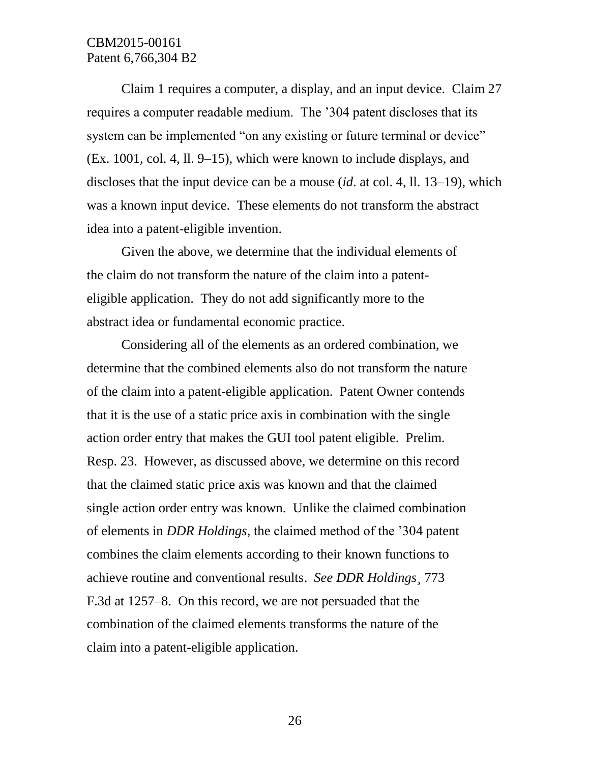Claim 1 requires a computer, a display, and an input device. Claim 27 requires a computer readable medium. The '304 patent discloses that its system can be implemented "on any existing or future terminal or device" (Ex. 1001, col. 4, ll. 9–15), which were known to include displays, and discloses that the input device can be a mouse (*id*. at col. 4, ll. 13–19), which was a known input device. These elements do not transform the abstract idea into a patent-eligible invention.

Given the above, we determine that the individual elements of the claim do not transform the nature of the claim into a patenteligible application. They do not add significantly more to the abstract idea or fundamental economic practice.

Considering all of the elements as an ordered combination, we determine that the combined elements also do not transform the nature of the claim into a patent-eligible application. Patent Owner contends that it is the use of a static price axis in combination with the single action order entry that makes the GUI tool patent eligible. Prelim. Resp. 23. However, as discussed above, we determine on this record that the claimed static price axis was known and that the claimed single action order entry was known. Unlike the claimed combination of elements in *DDR Holdings,* the claimed method of the '304 patent combines the claim elements according to their known functions to achieve routine and conventional results. *See DDR Holdings¸* 773 F.3d at 1257–8. On this record, we are not persuaded that the combination of the claimed elements transforms the nature of the claim into a patent-eligible application.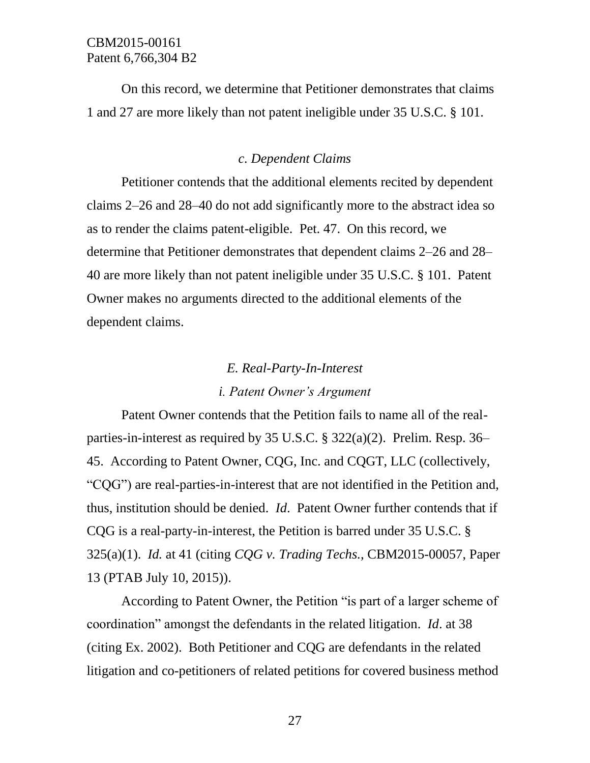On this record, we determine that Petitioner demonstrates that claims 1 and 27 are more likely than not patent ineligible under 35 U.S.C. § 101.

#### *c. Dependent Claims*

Petitioner contends that the additional elements recited by dependent claims 2–26 and 28–40 do not add significantly more to the abstract idea so as to render the claims patent-eligible. Pet. 47. On this record, we determine that Petitioner demonstrates that dependent claims 2–26 and 28– 40 are more likely than not patent ineligible under 35 U.S.C. § 101. Patent Owner makes no arguments directed to the additional elements of the dependent claims.

# *E. Real-Party-In-Interest*

### *i. Patent Owner's Argument*

Patent Owner contends that the Petition fails to name all of the realparties-in-interest as required by 35 U.S.C. § 322(a)(2). Prelim. Resp. 36– 45. According to Patent Owner, CQG, Inc. and CQGT, LLC (collectively, "CQG") are real-parties-in-interest that are not identified in the Petition and, thus, institution should be denied. *Id*. Patent Owner further contends that if CQG is a real-party-in-interest, the Petition is barred under 35 U.S.C. § 325(a)(1). *Id.* at 41 (citing *CQG v. Trading Techs.,* CBM2015-00057, Paper 13 (PTAB July 10, 2015)).

According to Patent Owner, the Petition "is part of a larger scheme of coordination" amongst the defendants in the related litigation. *Id*. at 38 (citing Ex. 2002). Both Petitioner and CQG are defendants in the related litigation and co-petitioners of related petitions for covered business method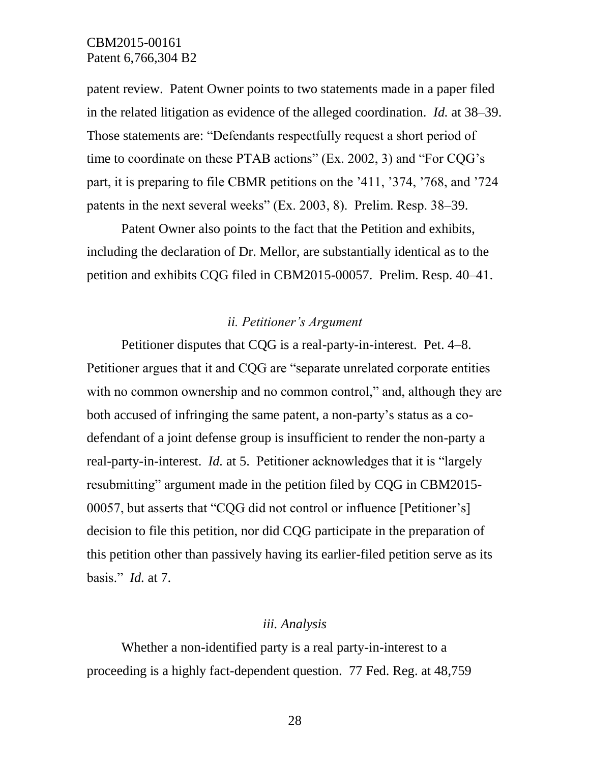patent review. Patent Owner points to two statements made in a paper filed in the related litigation as evidence of the alleged coordination. *Id.* at 38–39. Those statements are: "Defendants respectfully request a short period of time to coordinate on these PTAB actions" (Ex. 2002, 3) and "For CQG's part, it is preparing to file CBMR petitions on the '411, '374, '768, and '724 patents in the next several weeks" (Ex. 2003, 8). Prelim. Resp. 38–39.

Patent Owner also points to the fact that the Petition and exhibits, including the declaration of Dr. Mellor, are substantially identical as to the petition and exhibits CQG filed in CBM2015-00057. Prelim. Resp. 40–41.

#### *ii. Petitioner's Argument*

Petitioner disputes that CQG is a real-party-in-interest. Pet. 4–8. Petitioner argues that it and CQG are "separate unrelated corporate entities with no common ownership and no common control," and, although they are both accused of infringing the same patent, a non-party's status as a codefendant of a joint defense group is insufficient to render the non-party a real-party-in-interest. *Id.* at 5. Petitioner acknowledges that it is "largely resubmitting" argument made in the petition filed by CQG in CBM2015- 00057, but asserts that "CQG did not control or influence [Petitioner's] decision to file this petition, nor did CQG participate in the preparation of this petition other than passively having its earlier-filed petition serve as its basis." *Id.* at 7.

#### *iii. Analysis*

Whether a non-identified party is a real party-in-interest to a proceeding is a highly fact-dependent question. 77 Fed. Reg. at 48,759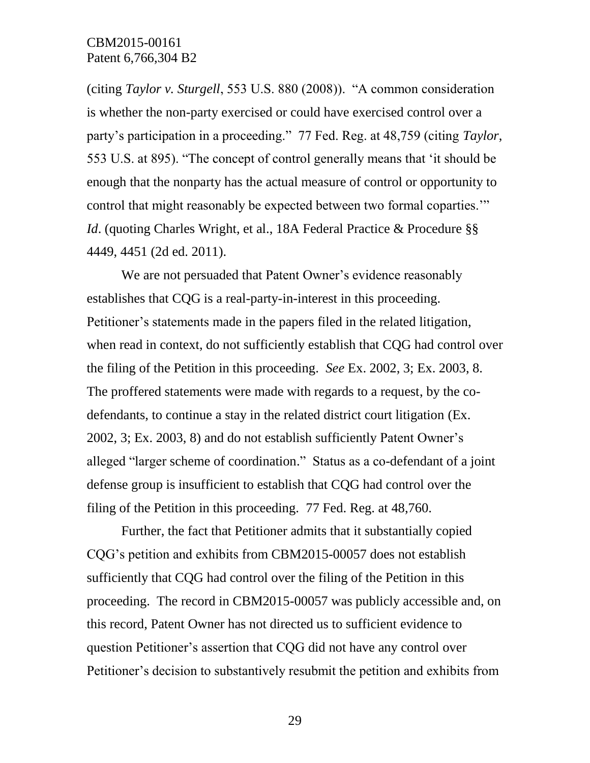(citing *Taylor v. Sturgell*, 553 U.S. 880 (2008)). "A common consideration is whether the non-party exercised or could have exercised control over a party's participation in a proceeding." 77 Fed. Reg. at 48,759 (citing *Taylor*, 553 U.S. at 895). "The concept of control generally means that 'it should be enough that the nonparty has the actual measure of control or opportunity to control that might reasonably be expected between two formal coparties.'" *Id.* (quoting Charles Wright, et al., 18A Federal Practice & Procedure §§ 4449, 4451 (2d ed. 2011).

We are not persuaded that Patent Owner's evidence reasonably establishes that CQG is a real-party-in-interest in this proceeding. Petitioner's statements made in the papers filed in the related litigation, when read in context, do not sufficiently establish that CQG had control over the filing of the Petition in this proceeding. *See* Ex. 2002, 3; Ex. 2003, 8. The proffered statements were made with regards to a request, by the codefendants, to continue a stay in the related district court litigation (Ex. 2002, 3; Ex. 2003, 8) and do not establish sufficiently Patent Owner's alleged "larger scheme of coordination." Status as a co-defendant of a joint defense group is insufficient to establish that CQG had control over the filing of the Petition in this proceeding. 77 Fed. Reg. at 48,760.

Further, the fact that Petitioner admits that it substantially copied CQG's petition and exhibits from CBM2015-00057 does not establish sufficiently that CQG had control over the filing of the Petition in this proceeding. The record in CBM2015-00057 was publicly accessible and, on this record, Patent Owner has not directed us to sufficient evidence to question Petitioner's assertion that CQG did not have any control over Petitioner's decision to substantively resubmit the petition and exhibits from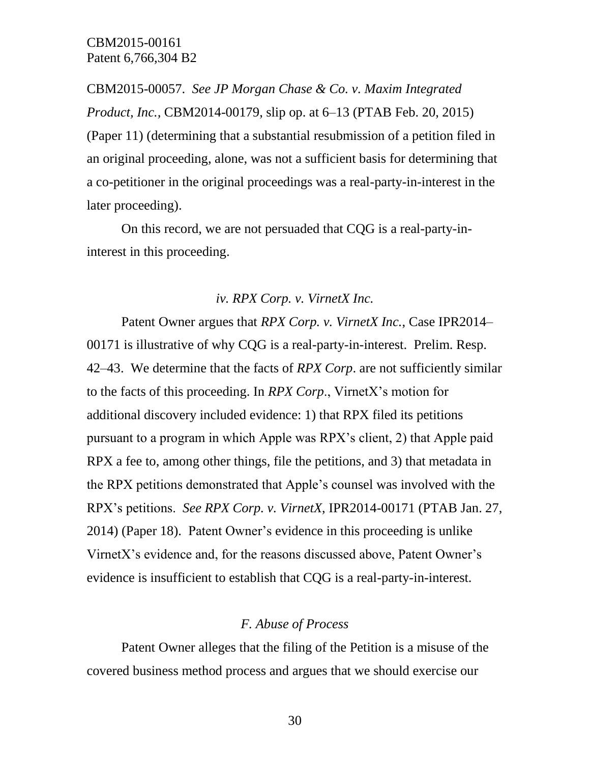CBM2015-00057. *See JP Morgan Chase & Co. v. Maxim Integrated Product, Inc.,* CBM2014-00179, slip op. at 6–13 (PTAB Feb. 20, 2015) (Paper 11) (determining that a substantial resubmission of a petition filed in an original proceeding, alone, was not a sufficient basis for determining that a co-petitioner in the original proceedings was a real-party-in-interest in the later proceeding).

On this record, we are not persuaded that CQG is a real-party-ininterest in this proceeding.

#### *iv. RPX Corp. v. VirnetX Inc.*

Patent Owner argues that *RPX Corp. v. VirnetX Inc.*, Case IPR2014– 00171 is illustrative of why CQG is a real-party-in-interest. Prelim. Resp. 42–43. We determine that the facts of *RPX Corp*. are not sufficiently similar to the facts of this proceeding. In *RPX Corp*., VirnetX's motion for additional discovery included evidence: 1) that RPX filed its petitions pursuant to a program in which Apple was RPX's client, 2) that Apple paid RPX a fee to, among other things, file the petitions, and 3) that metadata in the RPX petitions demonstrated that Apple's counsel was involved with the RPX's petitions. *See RPX Corp. v. VirnetX*, IPR2014-00171 (PTAB Jan. 27, 2014) (Paper 18). Patent Owner's evidence in this proceeding is unlike VirnetX's evidence and, for the reasons discussed above, Patent Owner's evidence is insufficient to establish that CQG is a real-party-in-interest.

#### *F. Abuse of Process*

Patent Owner alleges that the filing of the Petition is a misuse of the covered business method process and argues that we should exercise our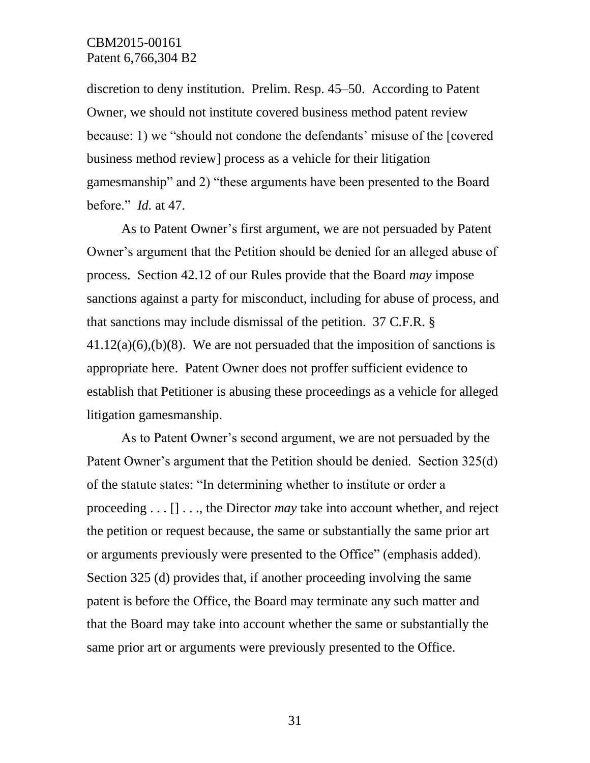discretion to deny institution. Prelim. Resp. 45–50. According to Patent Owner, we should not institute covered business method patent review because: 1) we "should not condone the defendants' misuse of the [covered business method review] process as a vehicle for their litigation gamesmanship" and 2) "these arguments have been presented to the Board before." *Id.* at 47.

As to Patent Owner's first argument, we are not persuaded by Patent Owner's argument that the Petition should be denied for an alleged abuse of process. Section 42.12 of our Rules provide that the Board *may* impose sanctions against a party for misconduct, including for abuse of process, and that sanctions may include dismissal of the petition. 37 C.F.R. §  $41.12(a)(6),(b)(8)$ . We are not persuaded that the imposition of sanctions is appropriate here. Patent Owner does not proffer sufficient evidence to establish that Petitioner is abusing these proceedings as a vehicle for alleged litigation gamesmanship.

As to Patent Owner's second argument, we are not persuaded by the Patent Owner's argument that the Petition should be denied. Section 325(d) of the statute states: "In determining whether to institute or order a proceeding . . . [] . . ., the Director *may* take into account whether, and reject the petition or request because, the same or substantially the same prior art or arguments previously were presented to the Office" (emphasis added). Section 325 (d) provides that, if another proceeding involving the same patent is before the Office, the Board may terminate any such matter and that the Board may take into account whether the same or substantially the same prior art or arguments were previously presented to the Office.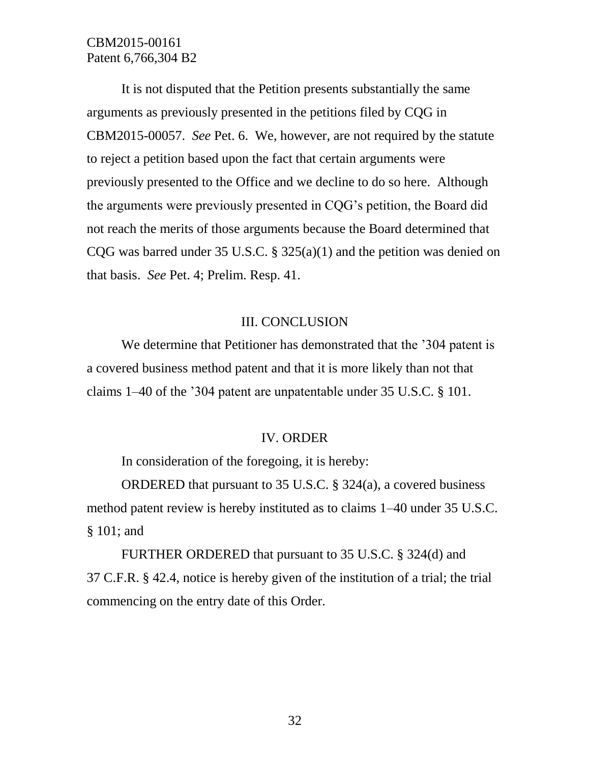It is not disputed that the Petition presents substantially the same arguments as previously presented in the petitions filed by CQG in CBM2015-00057. *See* Pet. 6. We, however, are not required by the statute to reject a petition based upon the fact that certain arguments were previously presented to the Office and we decline to do so here. Although the arguments were previously presented in CQG's petition, the Board did not reach the merits of those arguments because the Board determined that CQG was barred under 35 U.S.C. § 325(a)(1) and the petition was denied on that basis. *See* Pet. 4; Prelim. Resp. 41.

### III. CONCLUSION

We determine that Petitioner has demonstrated that the '304 patent is a covered business method patent and that it is more likely than not that claims 1–40 of the '304 patent are unpatentable under 35 U.S.C. § 101.

#### IV. ORDER

In consideration of the foregoing, it is hereby:

ORDERED that pursuant to 35 U.S.C. § 324(a), a covered business method patent review is hereby instituted as to claims 1–40 under 35 U.S.C. § 101; and

FURTHER ORDERED that pursuant to 35 U.S.C. § 324(d) and 37 C.F.R. § 42.4, notice is hereby given of the institution of a trial; the trial commencing on the entry date of this Order.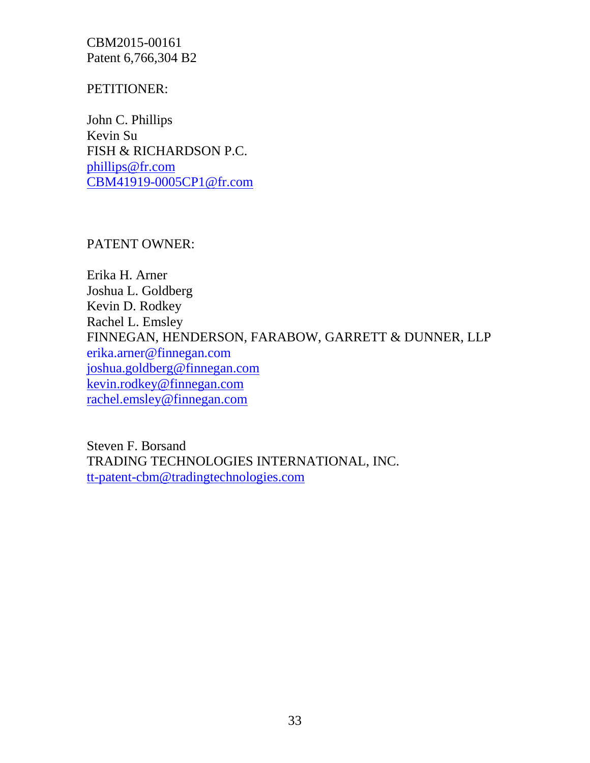## PETITIONER:

John C. Phillips Kevin Su FISH & RICHARDSON P.C. [phillips@fr.com](mailto:phillips@fr.com) [CBM41919-0005CP1@fr.com](mailto:CBM41919-0005CP1@fr.com)

PATENT OWNER:

Erika H. Arner Joshua L. Goldberg Kevin D. Rodkey Rachel L. Emsley FINNEGAN, HENDERSON, FARABOW, GARRETT & DUNNER, LLP [erika.arner@finnegan.com](mailto:erika.arner@finnegan.com) [joshua.goldberg@finnegan.com](mailto:joshua.goldberg@finnegan.com) [kevin.rodkey@finnegan.com](mailto:kevin.rodkey@finnegan.com) [rachel.emsley@finnegan.com](mailto:rachel.emsley@finnegan.com)

Steven F. Borsand TRADING TECHNOLOGIES INTERNATIONAL, INC. [tt-patent-cbm@tradingtechnologies.com](mailto:tt-patent-cbm@tradingtechnologies.com)